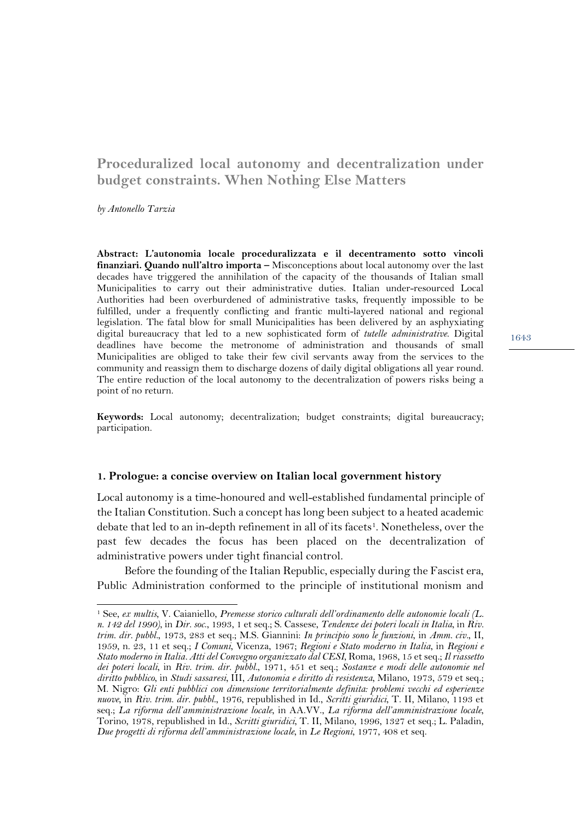# **Proceduralized local autonomy and decentralization under budget constraints. When Nothing Else Matters**

*by Antonello Tarzia*

 $\overline{a}$ 

**Abstract: L'autonomia locale proceduralizzata e il decentramento sotto vincoli finanziari. Quando null'altro importa –** Misconceptions about local autonomy over the last decades have triggered the annihilation of the capacity of the thousands of Italian small Municipalities to carry out their administrative duties. Italian under-resourced Local Authorities had been overburdened of administrative tasks, frequently impossible to be fulfilled, under a frequently conflicting and frantic multi-layered national and regional legislation. The fatal blow for small Municipalities has been delivered by an asphyxiating digital bureaucracy that led to a new sophisticated form of *tutelle administrative*. Digital deadlines have become the metronome of administration and thousands of small Municipalities are obliged to take their few civil servants away from the services to the community and reassign them to discharge dozens of daily digital obligations all year round. The entire reduction of the local autonomy to the decentralization of powers risks being a point of no return.

**Keywords:** Local autonomy; decentralization; budget constraints; digital bureaucracy; participation.

### **1. Prologue: a concise overview on Italian local government history**

Local autonomy is a time-honoured and well-established fundamental principle of the Italian Constitution. Such a concept has long been subject to a heated academic debate that led to an in-depth refinement in all of its facets<sup>1</sup>. Nonetheless, over the past few decades the focus has been placed on the decentralization of administrative powers under tight financial control.

Before the founding of the Italian Republic, especially during the Fascist era, Public Administration conformed to the principle of institutional monism and

<sup>1</sup> See, *ex multis*, V. Caianiello, *Premesse storico culturali dell'ordinamento delle autonomie locali (L. n. 142 del 1990)*, in *Dir. soc*., 1993, 1 et seq.; S. Cassese, *Tendenze dei poteri locali in Italia*, in *Riv. trim. dir. pubbl.*, 1973, 283 et seq.; M.S. Giannini: *In principio sono le funzioni*, in *Amm. civ.*, II, 1959, n. 23, 11 et seq.; *I Comuni*, Vicenza, 1967; *Regioni e Stato moderno in Italia*, in *Regioni e Stato moderno in Italia. Atti del Convegno organizzato dal CESI*, Roma, 1968, 15 et seq.; *Il riassetto dei poteri locali*, in *Riv. trim. dir. pubbl.*, 1971, 451 et seq.; *Sostanze e modi delle autonomie nel diritto pubblico*, in *Studi sassaresi*, III, *Autonomia e diritto di resistenza*, Milano, 1973, 579 et seq.; M. Nigro: *Gli enti pubblici con dimensione territorialmente definita: problemi vecchi ed esperienze nuove*, in *Riv. trim. dir. pubbl.*, 1976, republished in Id., *Scritti giuridici*, T. II, Milano, 1193 et seq.; *La riforma dell'amministrazione locale*, in AA.VV., *La riforma dell'amministrazione locale*, Torino, 1978, republished in Id., *Scritti giuridici*, T. II, Milano, 1996, 1327 et seq.; L. Paladin, *Due progetti di riforma dell'amministrazione locale*, in *Le Regioni*, 1977, 408 et seq.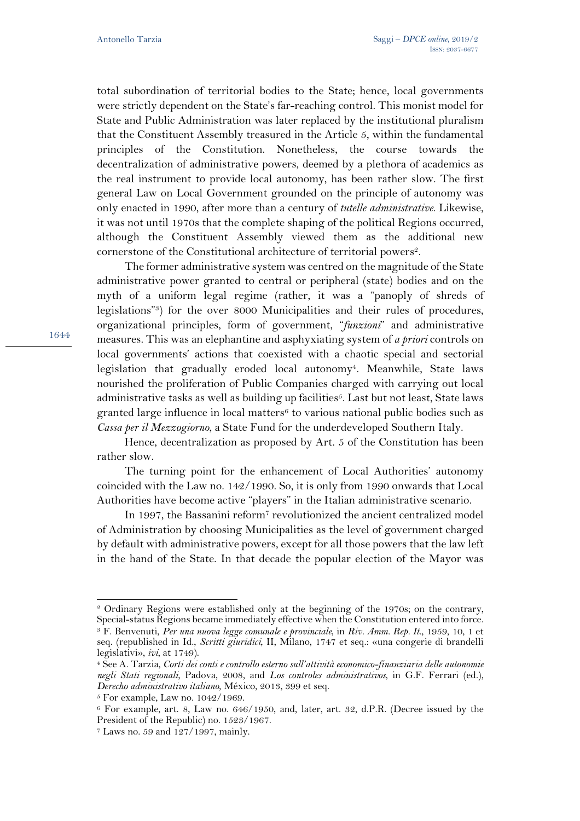total subordination of territorial bodies to the State; hence, local governments were strictly dependent on the State's far-reaching control. This monist model for State and Public Administration was later replaced by the institutional pluralism that the Constituent Assembly treasured in the Article 5, within the fundamental principles of the Constitution. Nonetheless, the course towards the decentralization of administrative powers, deemed by a plethora of academics as the real instrument to provide local autonomy, has been rather slow. The first general Law on Local Government grounded on the principle of autonomy was only enacted in 1990, after more than a century of *tutelle administrative*. Likewise, it was not until 1970s that the complete shaping of the political Regions occurred, although the Constituent Assembly viewed them as the additional new cornerstone of the Constitutional architecture of territorial powers<sup>2</sup>.

The former administrative system was centred on the magnitude of the State administrative power granted to central or peripheral (state) bodies and on the myth of a uniform legal regime (rather, it was a "panoply of shreds of legislations"3) for the over 8000 Municipalities and their rules of procedures, organizational principles, form of government, "*funzioni*" and administrative measures. This was an elephantine and asphyxiating system of *a priori* controls on local governments' actions that coexisted with a chaotic special and sectorial legislation that gradually eroded local autonomy<sup>4</sup>. Meanwhile, State laws nourished the proliferation of Public Companies charged with carrying out local administrative tasks as well as building up facilities<sup>5</sup>. Last but not least, State laws granted large influence in local matters<sup>6</sup> to various national public bodies such as *Cassa per il Mezzogiorno*, a State Fund for the underdeveloped Southern Italy.

Hence, decentralization as proposed by Art. 5 of the Constitution has been rather slow.

The turning point for the enhancement of Local Authorities' autonomy coincided with the Law no. 142/1990. So, it is only from 1990 onwards that Local Authorities have become active "players" in the Italian administrative scenario.

In 1997, the Bassanini reform<sup>7</sup> revolutionized the ancient centralized model of Administration by choosing Municipalities as the level of government charged by default with administrative powers, except for all those powers that the law left in the hand of the State. In that decade the popular election of the Mayor was

l

<sup>2</sup> Ordinary Regions were established only at the beginning of the 1970s; on the contrary, Special-status Regions became immediately effective when the Constitution entered into force. <sup>3</sup> F. Benvenuti, *Per una nuova legge comunale e provinciale*, in *Riv. Amm. Rep. It.*, 1959, 10, 1 et seq. (republished in Id., *Scritti giuridici*, II, Milano, 1747 et seq.: «una congerie di brandelli legislativi», *ivi*, at 1749).

<sup>4</sup> See A. Tarzia, *Corti dei conti e controllo esterno sull'attività economico-finanziaria delle autonomie negli Stati regionali*, Padova, 2008, and *Los controles administrativos*, in G.F. Ferrari (ed.), *Derecho administrativo italiano*, México, 2013, 399 et seq.

<sup>5</sup> For example, Law no. 1042/1969.

<sup>6</sup> For example, art. 8, Law no. 646/1950, and, later, art. 32, d.P.R. (Decree issued by the President of the Republic) no. 1523/1967.

<sup>7</sup> Laws no. 59 and 127/1997, mainly.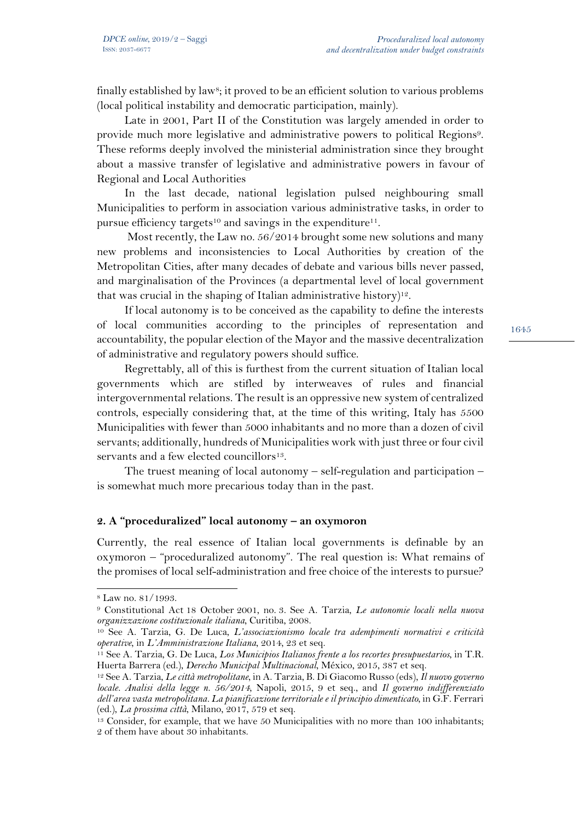finally established by law<sup>8</sup>; it proved to be an efficient solution to various problems (local political instability and democratic participation, mainly).

Late in 2001, Part II of the Constitution was largely amended in order to provide much more legislative and administrative powers to political Regions9. These reforms deeply involved the ministerial administration since they brought about a massive transfer of legislative and administrative powers in favour of Regional and Local Authorities

In the last decade, national legislation pulsed neighbouring small Municipalities to perform in association various administrative tasks, in order to pursue efficiency targets<sup>10</sup> and savings in the expenditure<sup>11</sup>.

Most recently, the Law no. 56/2014 brought some new solutions and many new problems and inconsistencies to Local Authorities by creation of the Metropolitan Cities, after many decades of debate and various bills never passed, and marginalisation of the Provinces (a departmental level of local government that was crucial in the shaping of Italian administrative history)<sup>12</sup>.

If local autonomy is to be conceived as the capability to define the interests of local communities according to the principles of representation and accountability, the popular election of the Mayor and the massive decentralization of administrative and regulatory powers should suffice.

Regrettably, all of this is furthest from the current situation of Italian local governments which are stifled by interweaves of rules and financial intergovernmental relations. The result is an oppressive new system of centralized controls, especially considering that, at the time of this writing, Italy has 5500 Municipalities with fewer than 5000 inhabitants and no more than a dozen of civil servants; additionally, hundreds of Municipalities work with just three or four civil servants and a few elected councillors<sup>13</sup>.

The truest meaning of local autonomy – self-regulation and participation – is somewhat much more precarious today than in the past.

## **2. A "proceduralized" local autonomy – an oxymoron**

Currently, the real essence of Italian local governments is definable by an oxymoron – "proceduralized autonomy". The real question is: What remains of the promises of local self-administration and free choice of the interests to pursue?

l

<sup>8</sup> Law no. 81/1993.

<sup>9</sup> Constitutional Act 18 October 2001, no. 3. See A. Tarzia, *Le autonomie locali nella nuova organizzazione costituzionale italiana*, Curitiba, 2008.

<sup>10</sup> See A. Tarzia, G. De Luca, *L'associazionismo locale tra adempimenti normativi e criticità operative*, in *L'Amministrazione Italiana*, 2014, 23 et seq.

<sup>11</sup> See A. Tarzia, G. De Luca, *Los Municipios Italianos frente a los recortes presupuestarios*, in T.R. Huerta Barrera (ed.), *Derecho Municipal Multinacional*, México, 2015, 387 et seq.

<sup>12</sup> See A. Tarzia, *Le città metropolitane*, in A. Tarzia, B. Di Giacomo Russo (eds), *Il nuovo governo locale. Analisi della legge n. 56/2014*, Napoli, 2015, 9 et seq., and *Il governo indifferenziato dell'area vasta metropolitana. La pianificazione territoriale e il principio dimenticato*, in G.F. Ferrari (ed.), *La prossima città*, Milano, 2017, 579 et seq.

<sup>&</sup>lt;sup>13</sup> Consider, for example, that we have 50 Municipalities with no more than 100 inhabitants; 2 of them have about 30 inhabitants.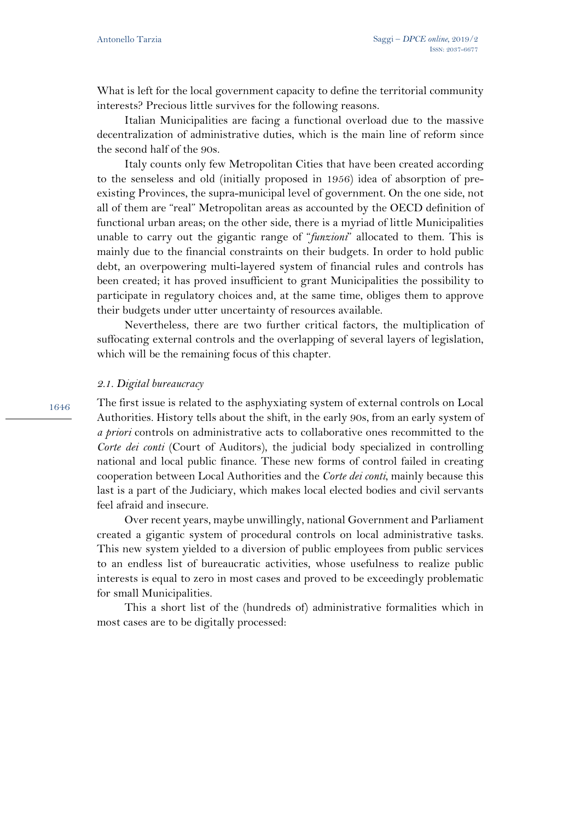What is left for the local government capacity to define the territorial community interests? Precious little survives for the following reasons.

Italian Municipalities are facing a functional overload due to the massive decentralization of administrative duties, which is the main line of reform since the second half of the 90s.

Italy counts only few Metropolitan Cities that have been created according to the senseless and old (initially proposed in 1956) idea of absorption of preexisting Provinces, the supra-municipal level of government. On the one side, not all of them are "real" Metropolitan areas as accounted by the OECD definition of functional urban areas; on the other side, there is a myriad of little Municipalities unable to carry out the gigantic range of "*funzioni*" allocated to them. This is mainly due to the financial constraints on their budgets. In order to hold public debt, an overpowering multi-layered system of financial rules and controls has been created; it has proved insufficient to grant Municipalities the possibility to participate in regulatory choices and, at the same time, obliges them to approve their budgets under utter uncertainty of resources available.

Nevertheless, there are two further critical factors, the multiplication of suffocating external controls and the overlapping of several layers of legislation, which will be the remaining focus of this chapter.

#### *2.1. Digital bureaucracy*

1646

The first issue is related to the asphyxiating system of external controls on Local Authorities. History tells about the shift, in the early 90s, from an early system of *a priori* controls on administrative acts to collaborative ones recommitted to the *Corte dei conti* (Court of Auditors), the judicial body specialized in controlling national and local public finance. These new forms of control failed in creating cooperation between Local Authorities and the *Corte dei conti*, mainly because this last is a part of the Judiciary, which makes local elected bodies and civil servants feel afraid and insecure.

Over recent years, maybe unwillingly, national Government and Parliament created a gigantic system of procedural controls on local administrative tasks. This new system yielded to a diversion of public employees from public services to an endless list of bureaucratic activities, whose usefulness to realize public interests is equal to zero in most cases and proved to be exceedingly problematic for small Municipalities.

This a short list of the (hundreds of) administrative formalities which in most cases are to be digitally processed: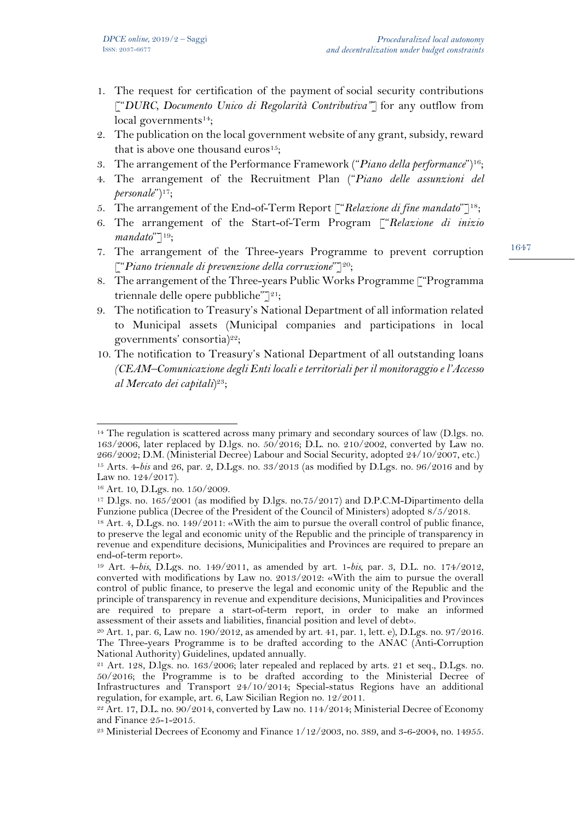- 1. The request for certification of the payment of social security contributions ["*DURC, Documento Unico di Regolarità Contributiva"*] for any outflow from local governments<sup>14</sup>;
- 2. The publication on the local government website of any grant, subsidy, reward that is above one thousand euros<sup>15</sup>;
- 3. The arrangement of the Performance Framework ("*Piano della performance*")16;
- 4. The arrangement of the Recruitment Plan ("*Piano delle assunzioni del personale*")17;
- 5. The arrangement of the End-of-Term Report ["Relazione di fine mandato"]<sup>18</sup>;
- 6. The arrangement of the Start-of-Term Program ["*Relazione di inizio*  mandato"<sup>-19</sup>;
- 7. The arrangement of the Three-years Programme to prevent corruption ["*Piano triennale di prevenzione della corruzione*"]20;

- 8. The arrangement of the Three-years Public Works Programme ["Programma triennale delle opere pubbliche" $\mathbb{Z}^2$ ;
- 9. The notification to Treasury's National Department of all information related to Municipal assets (Municipal companies and participations in local governments' consortia)22;
- 10. The notification to Treasury's National Department of all outstanding loans *(CEAM–Comunicazione degli Enti locali e territoriali per il monitoraggio e l'Accesso al Mercato dei capitali*)23;

 $\overline{a}$ <sup>14</sup> The regulation is scattered across many primary and secondary sources of law (D.lgs. no. 163/2006, later replaced by D.lgs. no. 50/2016; D.L. no. 210/2002, converted by Law no. 266/2002; D.M. (Ministerial Decree) Labour and Social Security, adopted 24/10/2007, etc.) <sup>15</sup> Arts. 4-*bis* and 26, par. 2, D.Lgs. no. 33/2013 (as modified by D.Lgs. no. 96/2016 and by Law no. 124/2017).

<sup>16</sup> Art. 10, D.Lgs. no. 150/2009.

<sup>17</sup> D.lgs. no. 165/2001 (as modified by D.lgs. no.75/2017) and D.P.C.M-Dipartimento della Funzione publica (Decree of the President of the Council of Ministers) adopted 8/5/2018.

<sup>18</sup> Art. 4, D.Lgs. no. 149/2011: «With the aim to pursue the overall control of public finance, to preserve the legal and economic unity of the Republic and the principle of transparency in revenue and expenditure decisions, Municipalities and Provinces are required to prepare an end-of-term report».

<sup>19</sup> Art. 4-*bis*, D.Lgs. no. 149/2011, as amended by art. 1-*bis*, par. 3, D.L. no. 174/2012, converted with modifications by Law no. 2013/2012: «With the aim to pursue the overall control of public finance, to preserve the legal and economic unity of the Republic and the principle of transparency in revenue and expenditure decisions, Municipalities and Provinces are required to prepare a start-of-term report, in order to make an informed assessment of their assets and liabilities, financial position and level of debt».

<sup>20</sup> Art. 1, par. 6, Law no. 190/2012, as amended by art. 41, par. 1, lett. e), D.Lgs. no. 97/2016. The Three-years Programme is to be drafted according to the ANAC (Anti-Corruption National Authority) Guidelines, updated annually.

<sup>21</sup> Art. 128, D.lgs. no. 163/2006; later repealed and replaced by arts. 21 et seq., D.Lgs. no. 50/2016; the Programme is to be drafted according to the Ministerial Decree of Infrastructures and Transport 24/10/2014; Special-status Regions have an additional regulation, for example, art. 6, Law Sicilian Region no. 12/2011.

<sup>22</sup> Art. 17, D.L. no. 90/2014, converted by Law no. 114/2014; Ministerial Decree of Economy and Finance 25-1-2015.

 $23$  Ministerial Decrees of Economy and Finance  $1/12/2003$ , no. 389, and 3-6-2004, no. 14955.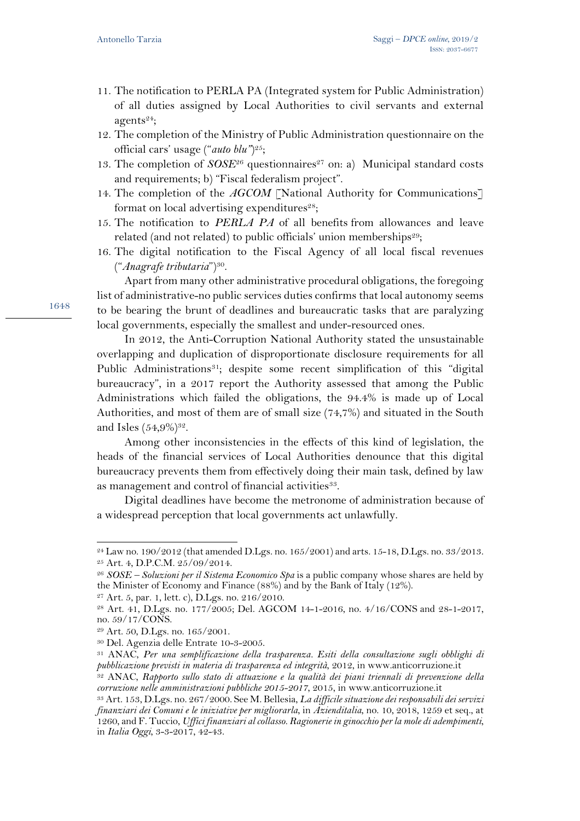- 11. The notification to PERLA PA (Integrated system for Public Administration) of all duties assigned by Local Authorities to civil servants and external agents $24$ ;
- 12. The completion of the Ministry of Public Administration questionnaire on the official cars' usage ("*auto blu"*)25;
- 13. The completion of  $SOSE^{26}$  questionnaires<sup>27</sup> on: a) Municipal standard costs and requirements; b) "Fiscal federalism project".
- 14. The completion of the *AGCOM* [National Authority for Communications] format on local advertising expenditures<sup>28</sup>;
- 15. The notification to *PERLA PA* of all benefits from allowances and leave related (and not related) to public officials' union memberships<sup>29</sup>;
- 16. The digital notification to the Fiscal Agency of all local fiscal revenues ("*Anagrafe tributaria*")30.

Apart from many other administrative procedural obligations, the foregoing list of administrative-no public services duties confirms that local autonomy seems to be bearing the brunt of deadlines and bureaucratic tasks that are paralyzing local governments, especially the smallest and under-resourced ones.

In 2012, the Anti-Corruption National Authority stated the unsustainable overlapping and duplication of disproportionate disclosure requirements for all Public Administrations<sup>31</sup>; despite some recent simplification of this "digital bureaucracy", in a 2017 report the Authority assessed that among the Public Administrations which failed the obligations, the 94.4% is made up of Local Authorities, and most of them are of small size (74,7%) and situated in the South and Isles  $(54,9\%)^{32}$ .

Among other inconsistencies in the effects of this kind of legislation, the heads of the financial services of Local Authorities denounce that this digital bureaucracy prevents them from effectively doing their main task, defined by law as management and control of financial activities<sup>33</sup>.

Digital deadlines have become the metronome of administration because of a widespread perception that local governments act unlawfully.

l

<sup>27</sup> Art. 5, par. 1, lett. c), D.Lgs. no. 216/2010.

<sup>24</sup> Law no. 190/2012 (that amended D.Lgs. no. 165/2001) and arts. 15-18, D.Lgs. no. 33/2013.

<sup>25</sup> Art. 4, D.P.C.M. 25/09/2014.

<sup>26</sup> *SOSE – Soluzioni per il Sistema Economico Spa* is a public company whose shares are held by the Minister of Economy and Finance (88%) and by the Bank of Italy (12%).

<sup>28</sup> Art. 41, D.Lgs. no. 177/2005; Del. AGCOM 14-1-2016, no. 4/16/CONS and 28-1-2017, no. 59/17/CONS.

<sup>29</sup> Art. 50, D.Lgs. no. 165/2001.

<sup>30</sup> Del. Agenzia delle Entrate 10-3-2005. 31 ANAC, *Per una semplificazione della trasparenza. Esiti della consultazione sugli obblighi di pubblicazione previsti in materia di trasparenza ed integrità*, 2012, in www.anticorruzione.it

<sup>32</sup> ANAC, *Rapporto sullo stato di attuazione e la qualità dei piani triennali di prevenzione della corruzione nelle amministrazioni pubbliche 2015-2017*, 2015, in www.anticorruzione.it

<sup>33</sup> Art. 153, D.Lgs. no. 267/2000. See M. Bellesia, *La difficile situazione dei responsabili dei servizi finanziari dei Comuni e le iniziative per migliorarla*, in *Azienditalia*, no. 10, 2018, 1259 et seq., at 1260, and F. Tuccio, *Uffici finanziari al collasso. Ragionerie in ginocchio per la mole di adempimenti*, in *Italia Oggi*, 3-3-2017, 42-43.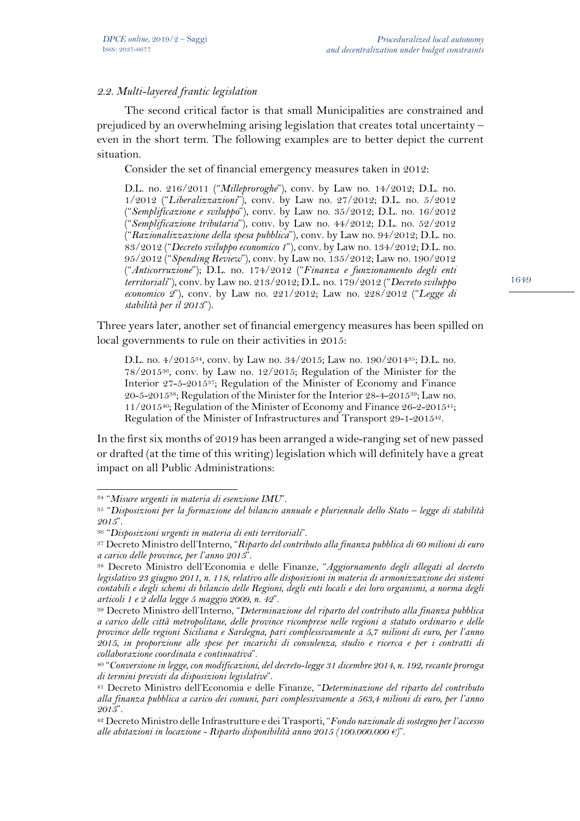## *2.2. Multi-layered frantic legislation*

The second critical factor is that small Municipalities are constrained and prejudiced by an overwhelming arising legislation that creates total uncertainty – even in the short term. The following examples are to better depict the current situation.

Consider the set of financial emergency measures taken in 2012:

D.L. no. 216/2011 ("*Milleproroghe*"), conv. by Law no. 14/2012; D.L. no. 1/2012 ("*Liberalizzazioni*"), conv. by Law no. 27/2012; D.L. no. 5/2012 ("*Semplificazione e sviluppo*"), conv. by Law no. 35/2012; D.L. no. 16/2012 ("*Semplificazione tributaria*"), conv. by Law no. 44/2012; D.L. no. 52/2012 ("*Razionalizzazione della spesa pubblica*"), conv. by Law no. 94/2012; D.L. no. 83/2012 ("*Decreto sviluppo economico 1*"), conv. by Law no. 134/2012; D.L. no. 95/2012 ("*Spending Review*"), conv. by Law no. 135/2012; Law no. 190/2012 ("*Anticorruzione*"); D.L. no. 174/2012 ("*Finanza e funzionamento degli enti territoriali*"), conv. by Law no. 213/2012; D.L. no. 179/2012 ("*Decreto sviluppo economico 2*"), conv. by Law no. 221/2012; Law no. 228/2012 ("*Legge di stabilità per il 2013*").

Three years later, another set of financial emergency measures has been spilled on local governments to rule on their activities in 2015:

D.L. no. 4/201534, conv. by Law no. 34/2015; Law no. 190/201435; D.L. no. 78/201536, conv. by Law no. 12/2015; Regulation of the Minister for the Interior 27-5-201537; Regulation of the Minister of Economy and Finance 20-5-201538; Regulation of the Minister for the Interior 28-4-201539; Law no.  $11/2015^{40}$ ; Regulation of the Minister of Economy and Finance 26-2-2015<sup>41</sup>; Regulation of the Minister of Infrastructures and Transport 29-1-201542.

In the first six months of 2019 has been arranged a wide-ranging set of new passed or drafted (at the time of this writing) legislation which will definitely have a great impact on all Public Administrations:

l

<sup>34</sup> "*Misure urgenti in materia di esenzione IMU*".

<sup>35</sup> "*Disposizioni per la formazione del bilancio annuale e pluriennale dello Stato – legge di stabilità 2015*".

<sup>36</sup> "*Disposizioni urgenti in materia di enti territoriali*".

<sup>37</sup> Decreto Ministro dell'Interno, "*Riparto del contributo alla finanza pubblica di 60 milioni di euro a carico delle province, per l'anno 2015*".

<sup>38</sup> Decreto Ministro dell'Economia e delle Finanze, "*Aggiornamento degli allegati al decreto legislativo 23 giugno 2011, n. 118, relativo alle disposizioni in materia di armonizzazione dei sistemi contabili e degli schemi di bilancio delle Regioni, degli enti locali e dei loro organismi, a norma degli articoli 1 e 2 della legge 5 maggio 2009, n. 42*".

<sup>39</sup> Decreto Ministro dell'Interno, "*Determinazione del riparto del contributo alla finanza pubblica a carico delle città metropolitane, delle province ricomprese nelle regioni a statuto ordinario e delle province delle regioni Siciliana e Sardegna, pari complessivamente a 5,7 milioni di euro, per l'anno 2015, in proporzione alle spese per incarichi di consulenza, studio e ricerca e per i contratti di collaborazione coordinata e continuativa*".

<sup>40</sup> "*Conversione in legge, con modificazioni, del decreto-legge 31 dicembre 2014, n. 192, recante proroga di termini previsti da disposizioni legislative*".

<sup>41</sup> Decreto Ministro dell'Economia e delle Finanze, "*Determinazione del riparto del contributo alla finanza pubblica a carico dei comuni, pari complessivamente a 563,4 milioni di euro, per l'anno 2015*".

<sup>42</sup> Decreto Ministro delle Infrastrutture e dei Trasporti, "*Fondo nazionale di sostegno per l'accesso alle abitazioni in locazione - Riparto disponibilità anno 2015 (100.000.000 €)*".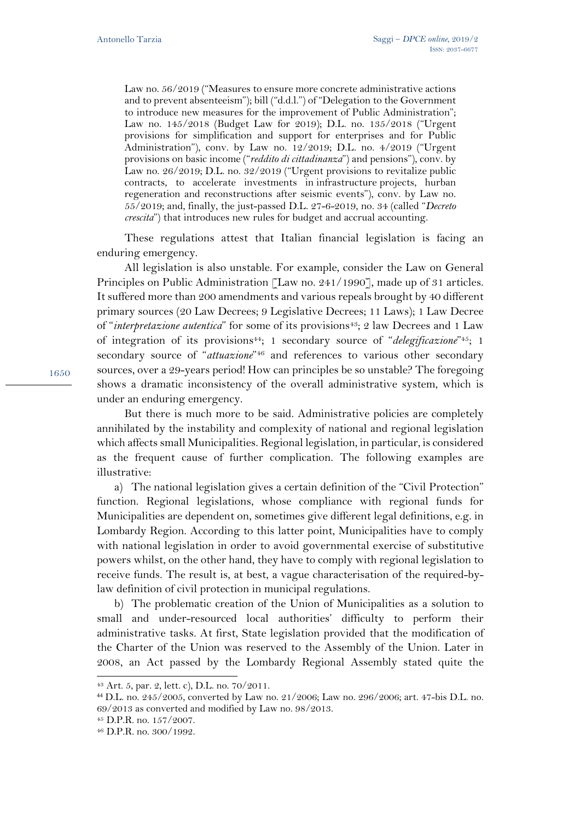Law no. 56/2019 ("Measures to ensure more concrete administrative actions and to prevent absenteeism"); bill ("d.d.l.") of "Delegation to the Government to introduce new measures for the improvement of Public Administration"; Law no. 145/2018 (Budget Law for 2019); D.L. no. 135/2018 ("Urgent provisions for simplification and support for enterprises and for Public Administration"), conv. by Law no. 12/2019; D.L. no. 4/2019 ("Urgent provisions on basic income ("*reddito di cittadinanza*") and pensions"), conv. by Law no. 26/2019; D.L. no. 32/2019 ("Urgent provisions to revitalize public contracts, to accelerate investments in infrastructure projects, hurban regeneration and reconstructions after seismic events"), conv. by Law no. 55/2019; and, finally, the just-passed D.L. 27-6-2019, no. 34 (called "*Decreto crescita*") that introduces new rules for budget and accrual accounting.

These regulations attest that Italian financial legislation is facing an enduring emergency.

All legislation is also unstable. For example, consider the Law on General Principles on Public Administration [Law no. 241/1990], made up of 31 articles. It suffered more than 200 amendments and various repeals brought by 40 different primary sources (20 Law Decrees; 9 Legislative Decrees; 11 Laws); 1 Law Decree of "*interpretazione autentica*" for some of its provisions<sup>43</sup>; 2 law Decrees and 1 Law of integration of its provisions44; 1 secondary source of "*delegificazione*"45; 1 secondary source of "*attuazione*"46 and references to various other secondary sources, over a 29-years period! How can principles be so unstable? The foregoing shows a dramatic inconsistency of the overall administrative system, which is under an enduring emergency.

But there is much more to be said. Administrative policies are completely annihilated by the instability and complexity of national and regional legislation which affects small Municipalities. Regional legislation, in particular, is considered as the frequent cause of further complication. The following examples are illustrative:

a) The national legislation gives a certain definition of the "Civil Protection" function. Regional legislations, whose compliance with regional funds for Municipalities are dependent on, sometimes give different legal definitions, e.g. in Lombardy Region. According to this latter point, Municipalities have to comply with national legislation in order to avoid governmental exercise of substitutive powers whilst, on the other hand, they have to comply with regional legislation to receive funds. The result is, at best, a vague characterisation of the required-bylaw definition of civil protection in municipal regulations.

b) The problematic creation of the Union of Municipalities as a solution to small and under-resourced local authorities' difficulty to perform their administrative tasks. At first, State legislation provided that the modification of the Charter of the Union was reserved to the Assembly of the Union. Later in 2008, an Act passed by the Lombardy Regional Assembly stated quite the

l

<sup>43</sup> Art. 5, par. 2, lett. c), D.L. no. 70/2011.

<sup>44</sup> D.L. no. 245/2005, converted by Law no. 21/2006; Law no. 296/2006; art. 47-bis D.L. no. 69/2013 as converted and modified by Law no. 98/2013.

<sup>45</sup> D.P.R. no. 157/2007.

<sup>46</sup> D.P.R. no. 300/1992.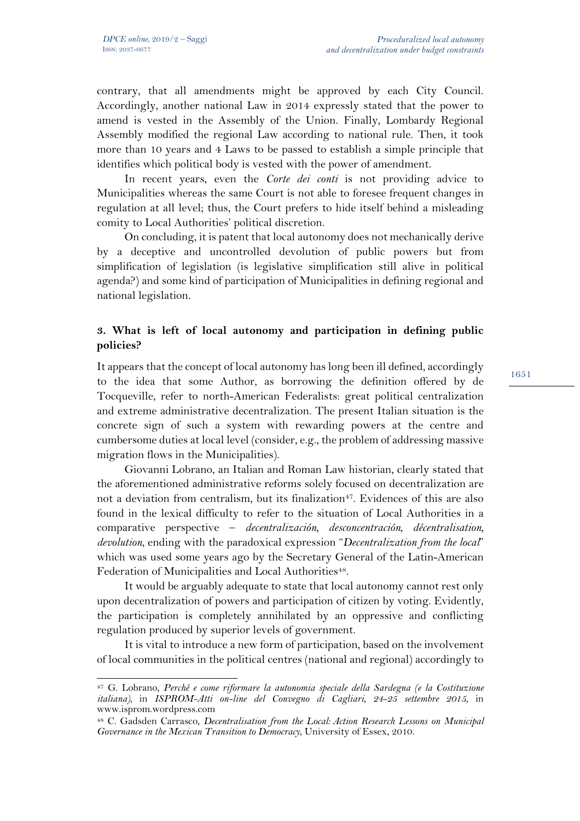$\overline{a}$ 

contrary, that all amendments might be approved by each City Council. Accordingly, another national Law in 2014 expressly stated that the power to amend is vested in the Assembly of the Union. Finally, Lombardy Regional Assembly modified the regional Law according to national rule. Then, it took more than 10 years and 4 Laws to be passed to establish a simple principle that identifies which political body is vested with the power of amendment.

In recent years, even the *Corte dei conti* is not providing advice to Municipalities whereas the same Court is not able to foresee frequent changes in regulation at all level; thus, the Court prefers to hide itself behind a misleading comity to Local Authorities' political discretion.

On concluding, it is patent that local autonomy does not mechanically derive by a deceptive and uncontrolled devolution of public powers but from simplification of legislation (is legislative simplification still alive in political agenda?) and some kind of participation of Municipalities in defining regional and national legislation.

## **3. What is left of local autonomy and participation in defining public policies?**

It appears that the concept of local autonomy has long been ill defined, accordingly to the idea that some Author, as borrowing the definition offered by de Tocqueville, refer to north-American Federalists: great political centralization and extreme administrative decentralization. The present Italian situation is the concrete sign of such a system with rewarding powers at the centre and cumbersome duties at local level (consider, e.g., the problem of addressing massive migration flows in the Municipalities).

Giovanni Lobrano, an Italian and Roman Law historian, clearly stated that the aforementioned administrative reforms solely focused on decentralization are not a deviation from centralism, but its finalization<sup>47</sup>. Evidences of this are also found in the lexical difficulty to refer to the situation of Local Authorities in a comparative perspective – *decentralización, desconcentración, décentralisation, devolution*, ending with the paradoxical expression "*Decentralization from the local*" which was used some years ago by the Secretary General of the Latin-American Federation of Municipalities and Local Authorities<sup>48</sup>.

It would be arguably adequate to state that local autonomy cannot rest only upon decentralization of powers and participation of citizen by voting. Evidently, the participation is completely annihilated by an oppressive and conflicting regulation produced by superior levels of government.

It is vital to introduce a new form of participation, based on the involvement of local communities in the political centres (national and regional) accordingly to

<sup>47</sup> G. Lobrano, *Perché e come riformare la autonomia speciale della Sardegna (e la Costituzione italiana),* in *ISPROM-Atti on-line del Convegno di Cagliari, 24-25 settembre 2015*, in www.isprom.wordpress.com

<sup>48</sup> C. Gadsden Carrasco, *Decentralisation from the Local: Action Research Lessons on Municipal Governance in the Mexican Transition to Democracy*, University of Essex, 2010.